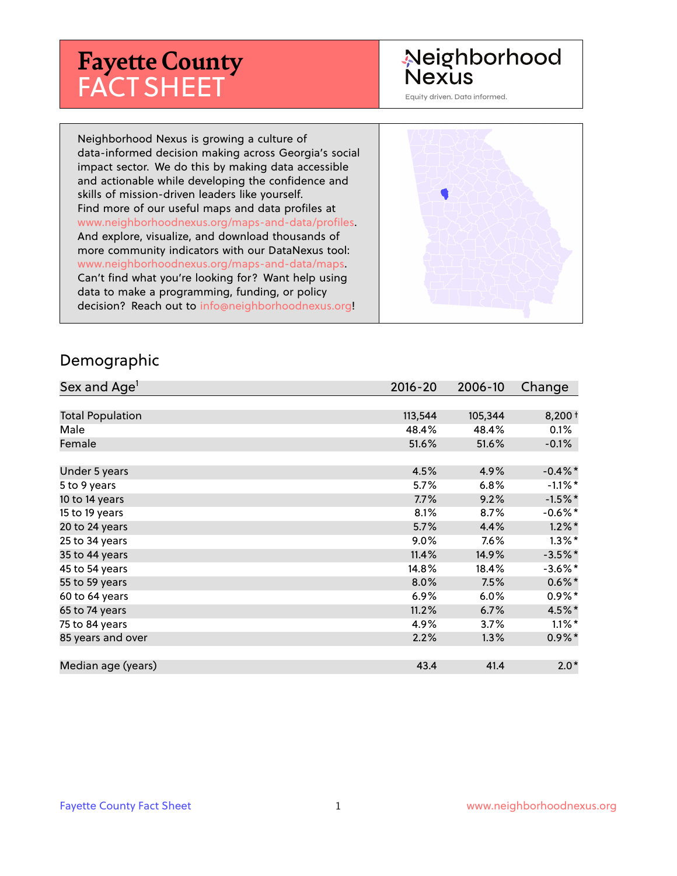# **Fayette County** FACT SHEET

# Neighborhood **Nexus**

Equity driven. Data informed.

Neighborhood Nexus is growing a culture of data-informed decision making across Georgia's social impact sector. We do this by making data accessible and actionable while developing the confidence and skills of mission-driven leaders like yourself. Find more of our useful maps and data profiles at www.neighborhoodnexus.org/maps-and-data/profiles. And explore, visualize, and download thousands of more community indicators with our DataNexus tool: www.neighborhoodnexus.org/maps-and-data/maps. Can't find what you're looking for? Want help using data to make a programming, funding, or policy decision? Reach out to [info@neighborhoodnexus.org!](mailto:info@neighborhoodnexus.org)



#### Demographic

| Sex and Age <sup>1</sup> | $2016 - 20$ | 2006-10 | Change     |
|--------------------------|-------------|---------|------------|
|                          |             |         |            |
| <b>Total Population</b>  | 113,544     | 105,344 | $8,200+$   |
| Male                     | 48.4%       | 48.4%   | 0.1%       |
| Female                   | 51.6%       | 51.6%   | $-0.1\%$   |
|                          |             |         |            |
| Under 5 years            | 4.5%        | 4.9%    | $-0.4\%$ * |
| 5 to 9 years             | $5.7\%$     | 6.8%    | $-1.1\%$ * |
| 10 to 14 years           | 7.7%        | 9.2%    | $-1.5%$ *  |
| 15 to 19 years           | 8.1%        | 8.7%    | $-0.6%$ *  |
| 20 to 24 years           | 5.7%        | 4.4%    | $1.2\%$ *  |
| 25 to 34 years           | 9.0%        | 7.6%    | $1.3\%$ *  |
| 35 to 44 years           | 11.4%       | 14.9%   | $-3.5\%$ * |
| 45 to 54 years           | 14.8%       | 18.4%   | $-3.6\%$ * |
| 55 to 59 years           | 8.0%        | 7.5%    | $0.6\%$ *  |
| 60 to 64 years           | 6.9%        | 6.0%    | $0.9\%$ *  |
| 65 to 74 years           | 11.2%       | 6.7%    | 4.5%*      |
| 75 to 84 years           | 4.9%        | 3.7%    | $1.1\%$ *  |
| 85 years and over        | 2.2%        | 1.3%    | $0.9\%$ *  |
|                          |             |         |            |
| Median age (years)       | 43.4        | 41.4    | $2.0*$     |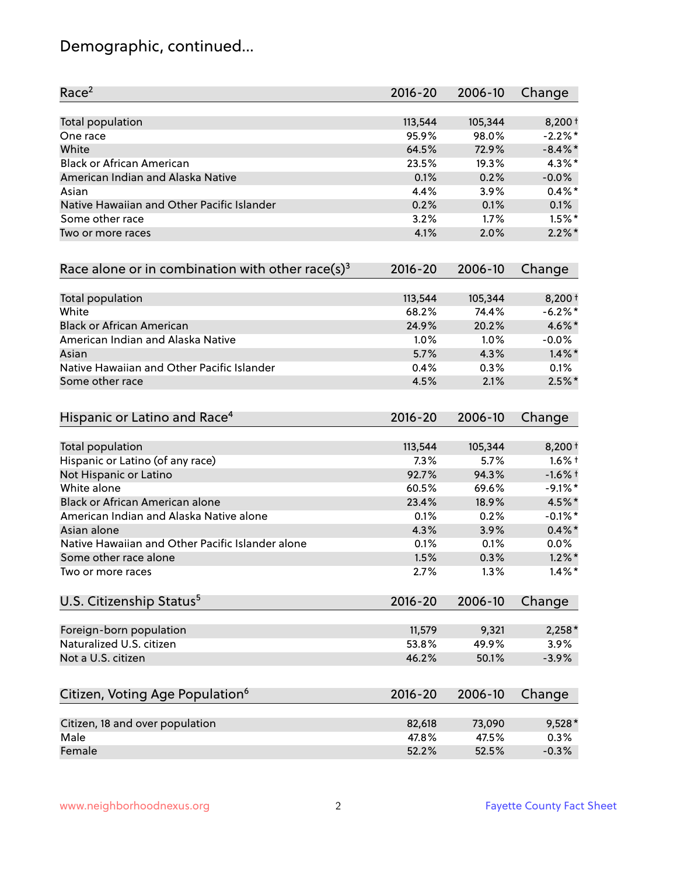# Demographic, continued...

| Race <sup>2</sup>                                   | $2016 - 20$ | 2006-10 | Change     |
|-----------------------------------------------------|-------------|---------|------------|
| <b>Total population</b>                             | 113,544     | 105,344 | $8,200+$   |
| One race                                            | 95.9%       | 98.0%   | $-2.2%$ *  |
| White                                               | 64.5%       | 72.9%   | $-8.4\%$ * |
| <b>Black or African American</b>                    | 23.5%       | 19.3%   | 4.3%*      |
| American Indian and Alaska Native                   | 0.1%        | 0.2%    | $-0.0%$    |
| Asian                                               | 4.4%        | 3.9%    | $0.4\%$ *  |
| Native Hawaiian and Other Pacific Islander          | 0.2%        | 0.1%    | 0.1%       |
| Some other race                                     | 3.2%        | 1.7%    | $1.5\%$ *  |
| Two or more races                                   | 4.1%        | 2.0%    | $2.2\%$ *  |
| Race alone or in combination with other race(s) $3$ | $2016 - 20$ | 2006-10 | Change     |
| Total population                                    | 113,544     | 105,344 | $8,200+$   |
| White                                               | 68.2%       | 74.4%   | $-6.2%$ *  |
| <b>Black or African American</b>                    | 24.9%       | 20.2%   | 4.6%*      |
| American Indian and Alaska Native                   | 1.0%        | 1.0%    | $-0.0%$    |
| Asian                                               | 5.7%        | 4.3%    | $1.4\%$ *  |
| Native Hawaiian and Other Pacific Islander          | 0.4%        | 0.3%    | 0.1%       |
| Some other race                                     | 4.5%        | 2.1%    | $2.5%$ *   |
| Hispanic or Latino and Race <sup>4</sup>            | $2016 - 20$ | 2006-10 | Change     |
| Total population                                    | 113,544     | 105,344 | $8,200+$   |
| Hispanic or Latino (of any race)                    | 7.3%        | 5.7%    | $1.6\%$ †  |
| Not Hispanic or Latino                              | 92.7%       | 94.3%   | $-1.6%$ †  |
| White alone                                         | 60.5%       | 69.6%   | $-9.1\%$ * |
| Black or African American alone                     | 23.4%       | 18.9%   | 4.5%*      |
| American Indian and Alaska Native alone             | 0.1%        | 0.2%    | $-0.1\%$ * |
| Asian alone                                         | 4.3%        | 3.9%    | $0.4\% *$  |
| Native Hawaiian and Other Pacific Islander alone    | 0.1%        | 0.1%    | $0.0\%$    |
| Some other race alone                               | 1.5%        | 0.3%    | $1.2\%$ *  |
| Two or more races                                   | 2.7%        | 1.3%    | $1.4\%$ *  |
| U.S. Citizenship Status <sup>5</sup>                | $2016 - 20$ | 2006-10 | Change     |
| Foreign-born population                             | 11,579      | 9,321   | $2,258*$   |
| Naturalized U.S. citizen                            | 53.8%       | 49.9%   | 3.9%       |
| Not a U.S. citizen                                  | 46.2%       | 50.1%   | $-3.9%$    |
|                                                     |             |         |            |
| Citizen, Voting Age Population <sup>6</sup>         | $2016 - 20$ | 2006-10 | Change     |
| Citizen, 18 and over population                     | 82,618      | 73,090  | 9,528*     |
| Male                                                | 47.8%       | 47.5%   | 0.3%       |
| Female                                              | 52.2%       | 52.5%   | $-0.3%$    |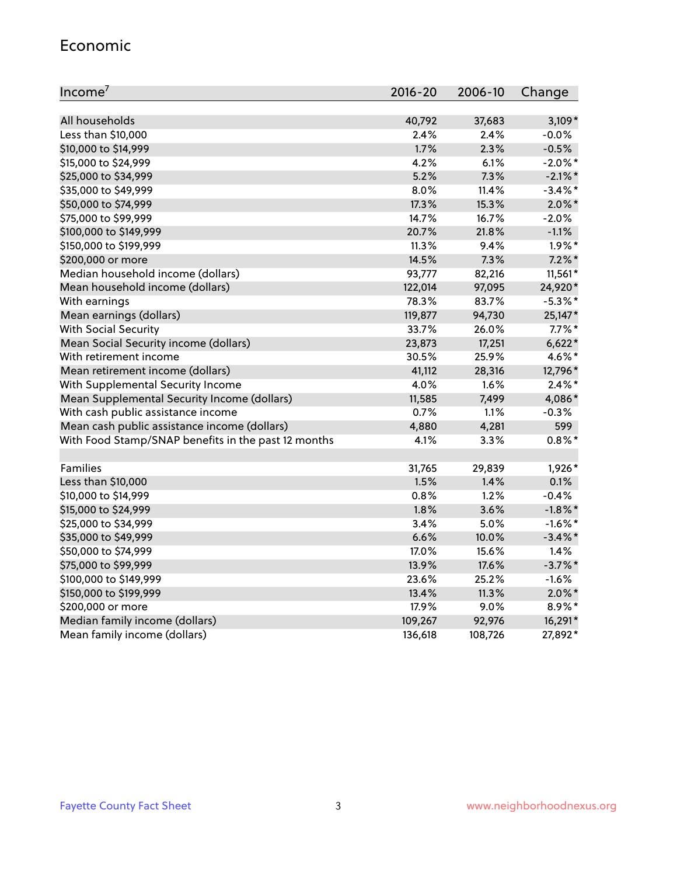#### Economic

| Income <sup>7</sup>                                 | 2016-20 | 2006-10 | Change     |
|-----------------------------------------------------|---------|---------|------------|
|                                                     |         |         |            |
| All households                                      | 40,792  | 37,683  | $3,109*$   |
| Less than \$10,000                                  | 2.4%    | 2.4%    | $-0.0\%$   |
| \$10,000 to \$14,999                                | 1.7%    | 2.3%    | $-0.5%$    |
| \$15,000 to \$24,999                                | 4.2%    | 6.1%    | $-2.0\%$ * |
| \$25,000 to \$34,999                                | 5.2%    | 7.3%    | $-2.1\%$ * |
| \$35,000 to \$49,999                                | 8.0%    | 11.4%   | $-3.4\%$ * |
| \$50,000 to \$74,999                                | 17.3%   | 15.3%   | $2.0\%$ *  |
| \$75,000 to \$99,999                                | 14.7%   | 16.7%   | $-2.0%$    |
| \$100,000 to \$149,999                              | 20.7%   | 21.8%   | $-1.1%$    |
| \$150,000 to \$199,999                              | 11.3%   | 9.4%    | $1.9\%$ *  |
| \$200,000 or more                                   | 14.5%   | 7.3%    | $7.2\%$ *  |
| Median household income (dollars)                   | 93,777  | 82,216  | $11,561*$  |
| Mean household income (dollars)                     | 122,014 | 97,095  | 24,920*    |
| With earnings                                       | 78.3%   | 83.7%   | $-5.3\%$ * |
| Mean earnings (dollars)                             | 119,877 | 94,730  | 25,147*    |
| <b>With Social Security</b>                         | 33.7%   | 26.0%   | $7.7\%$ *  |
| Mean Social Security income (dollars)               | 23,873  | 17,251  | $6,622*$   |
| With retirement income                              | 30.5%   | 25.9%   | 4.6%*      |
| Mean retirement income (dollars)                    | 41,112  | 28,316  | 12,796*    |
| With Supplemental Security Income                   | 4.0%    | 1.6%    | $2.4\%$ *  |
| Mean Supplemental Security Income (dollars)         | 11,585  | 7,499   | 4,086*     |
| With cash public assistance income                  | 0.7%    | 1.1%    | $-0.3%$    |
| Mean cash public assistance income (dollars)        | 4,880   | 4,281   | 599        |
| With Food Stamp/SNAP benefits in the past 12 months | 4.1%    | 3.3%    | $0.8\%$ *  |
|                                                     |         |         |            |
| Families                                            | 31,765  | 29,839  | 1,926*     |
| Less than \$10,000                                  | 1.5%    | 1.4%    | 0.1%       |
| \$10,000 to \$14,999                                | 0.8%    | 1.2%    | $-0.4%$    |
| \$15,000 to \$24,999                                | 1.8%    | 3.6%    | $-1.8\%$ * |
| \$25,000 to \$34,999                                | 3.4%    | 5.0%    | $-1.6\%$ * |
| \$35,000 to \$49,999                                | 6.6%    | 10.0%   | $-3.4\%$ * |
| \$50,000 to \$74,999                                | 17.0%   | 15.6%   | 1.4%       |
| \$75,000 to \$99,999                                | 13.9%   | 17.6%   | $-3.7%$ *  |
| \$100,000 to \$149,999                              | 23.6%   | 25.2%   | $-1.6%$    |
| \$150,000 to \$199,999                              | 13.4%   | 11.3%   | $2.0\%$ *  |
| \$200,000 or more                                   | 17.9%   | 9.0%    | 8.9%*      |
| Median family income (dollars)                      | 109,267 | 92,976  | 16,291*    |
| Mean family income (dollars)                        | 136,618 | 108,726 | 27,892*    |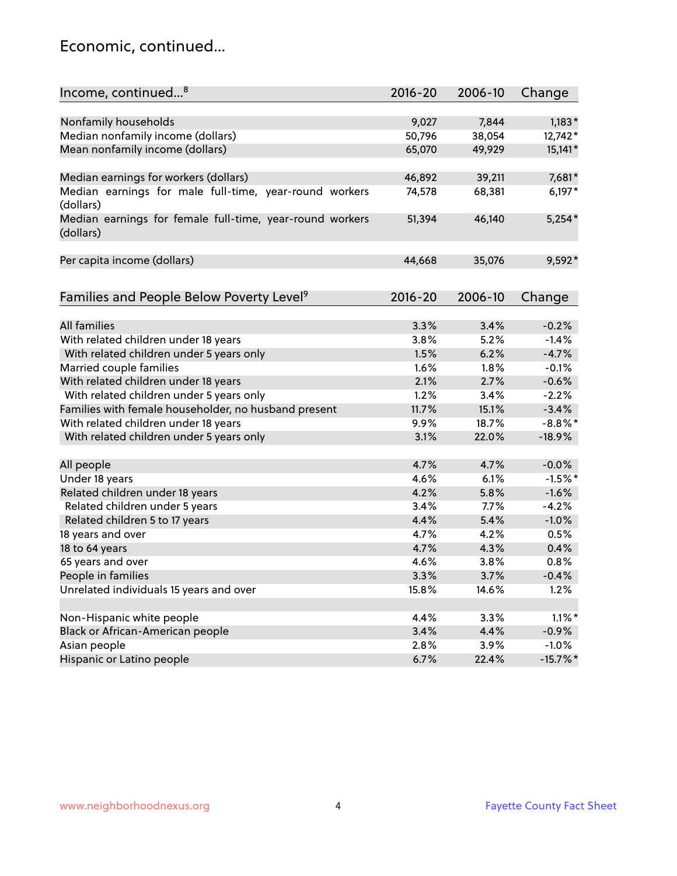### Economic, continued...

| Income, continued <sup>8</sup>                                        | $2016 - 20$ | 2006-10       | Change      |
|-----------------------------------------------------------------------|-------------|---------------|-------------|
|                                                                       |             |               |             |
| Nonfamily households                                                  | 9,027       | 7,844         | $1,183*$    |
| Median nonfamily income (dollars)                                     | 50,796      | 38,054        | 12,742*     |
| Mean nonfamily income (dollars)                                       | 65,070      | 49,929        | $15,141*$   |
| Median earnings for workers (dollars)                                 | 46,892      | 39,211        | 7,681*      |
| Median earnings for male full-time, year-round workers                | 74,578      | 68,381        | $6,197*$    |
| (dollars)                                                             |             |               |             |
| Median earnings for female full-time, year-round workers<br>(dollars) | 51,394      | 46,140        | $5,254*$    |
| Per capita income (dollars)                                           | 44,668      | 35,076        | 9,592*      |
|                                                                       |             |               |             |
| Families and People Below Poverty Level <sup>9</sup>                  | $2016 - 20$ | 2006-10       | Change      |
| <b>All families</b>                                                   | 3.3%        | 3.4%          | $-0.2%$     |
| With related children under 18 years                                  | 3.8%        | 5.2%          | $-1.4%$     |
| With related children under 5 years only                              | 1.5%        | 6.2%          | $-4.7%$     |
| Married couple families                                               | 1.6%        | 1.8%          | $-0.1%$     |
| With related children under 18 years                                  | 2.1%        | 2.7%          | $-0.6%$     |
| With related children under 5 years only                              | 1.2%        |               | $-2.2%$     |
| Families with female householder, no husband present                  | 11.7%       | 3.4%<br>15.1% |             |
|                                                                       |             |               | $-3.4%$     |
| With related children under 18 years                                  | 9.9%        | 18.7%         | $-8.8\%$ *  |
| With related children under 5 years only                              | 3.1%        | 22.0%         | $-18.9%$    |
| All people                                                            | 4.7%        | 4.7%          | $-0.0%$     |
| Under 18 years                                                        | 4.6%        | 6.1%          | $-1.5%$ *   |
| Related children under 18 years                                       | 4.2%        | 5.8%          | $-1.6%$     |
| Related children under 5 years                                        | 3.4%        | 7.7%          | $-4.2%$     |
| Related children 5 to 17 years                                        | 4.4%        | 5.4%          | $-1.0%$     |
| 18 years and over                                                     | 4.7%        | 4.2%          | 0.5%        |
| 18 to 64 years                                                        | 4.7%        | 4.3%          | 0.4%        |
| 65 years and over                                                     | 4.6%        | 3.8%          | 0.8%        |
| People in families                                                    | 3.3%        | 3.7%          | $-0.4%$     |
| Unrelated individuals 15 years and over                               | 15.8%       | 14.6%         | 1.2%        |
|                                                                       |             |               |             |
| Non-Hispanic white people                                             | 4.4%        | 3.3%          | $1.1\%$ *   |
| Black or African-American people                                      | 3.4%        | 4.4%          | $-0.9%$     |
| Asian people                                                          | 2.8%        | 3.9%          | $-1.0%$     |
| Hispanic or Latino people                                             | 6.7%        | 22.4%         | $-15.7\%$ * |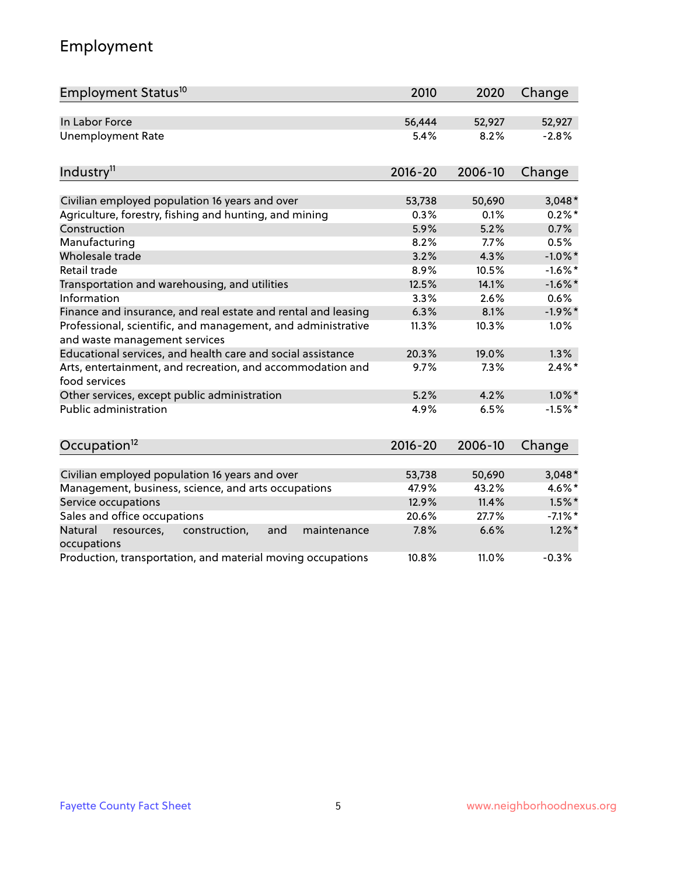# Employment

| Employment Status <sup>10</sup>                                                               | 2010            | 2020            | Change                |
|-----------------------------------------------------------------------------------------------|-----------------|-----------------|-----------------------|
| In Labor Force                                                                                | 56,444          | 52,927          | 52,927                |
| <b>Unemployment Rate</b>                                                                      | 5.4%            | 8.2%            | $-2.8%$               |
| Industry <sup>11</sup>                                                                        | $2016 - 20$     | 2006-10         | Change                |
| Civilian employed population 16 years and over                                                | 53,738          | 50,690          | $3,048*$              |
| Agriculture, forestry, fishing and hunting, and mining                                        | 0.3%            | 0.1%            | $0.2\%$ *             |
| Construction                                                                                  | 5.9%            | 5.2%            | 0.7%                  |
| Manufacturing                                                                                 | 8.2%            | 7.7%            | 0.5%                  |
| Wholesale trade                                                                               | 3.2%            | 4.3%            | $-1.0\%$ *            |
| Retail trade                                                                                  | 8.9%            | 10.5%           | $-1.6\%$ *            |
| Transportation and warehousing, and utilities                                                 | 12.5%           | 14.1%           | $-1.6\%$ *            |
| Information                                                                                   | 3.3%            | 2.6%            | 0.6%                  |
| Finance and insurance, and real estate and rental and leasing                                 | 6.3%            | 8.1%            | $-1.9%$ *             |
| Professional, scientific, and management, and administrative<br>and waste management services | 11.3%           | 10.3%           | 1.0%                  |
| Educational services, and health care and social assistance                                   | 20.3%           | 19.0%           | 1.3%                  |
| Arts, entertainment, and recreation, and accommodation and<br>food services                   | 9.7%            | 7.3%            | $2.4\%$ *             |
| Other services, except public administration                                                  | 5.2%            | 4.2%            | $1.0\%$ *             |
| Public administration                                                                         | 4.9%            | 6.5%            | $-1.5%$ *             |
| Occupation <sup>12</sup>                                                                      | $2016 - 20$     | 2006-10         | Change                |
|                                                                                               |                 |                 |                       |
| Civilian employed population 16 years and over                                                | 53,738<br>47.9% | 50,690<br>43.2% | $3,048*$<br>$4.6\%$ * |
| Management, business, science, and arts occupations<br>Service occupations                    | 12.9%           | 11.4%           | $1.5\%$ *             |
| Sales and office occupations                                                                  | 20.6%           | 27.7%           | $-7.1\%$ *            |
|                                                                                               | 7.8%            | 6.6%            | $1.2\%$ *             |
| Natural<br>construction,<br>maintenance<br>resources,<br>and<br>occupations                   |                 |                 |                       |
| Production, transportation, and material moving occupations                                   | 10.8%           | 11.0%           | $-0.3%$               |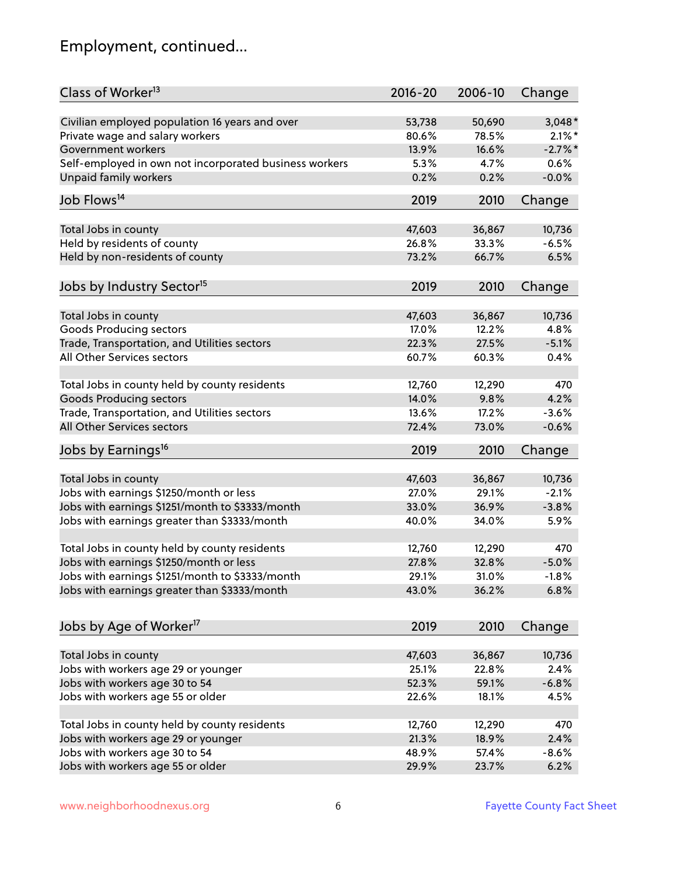# Employment, continued...

| Class of Worker <sup>13</sup>                          | $2016 - 20$ | 2006-10 | Change     |
|--------------------------------------------------------|-------------|---------|------------|
| Civilian employed population 16 years and over         | 53,738      | 50,690  | $3,048*$   |
| Private wage and salary workers                        | 80.6%       | 78.5%   | $2.1\%$ *  |
| Government workers                                     | 13.9%       | 16.6%   | $-2.7\%$ * |
| Self-employed in own not incorporated business workers | 5.3%        | 4.7%    | 0.6%       |
| Unpaid family workers                                  | 0.2%        | 0.2%    | $-0.0%$    |
| Job Flows <sup>14</sup>                                | 2019        | 2010    | Change     |
|                                                        |             |         |            |
| Total Jobs in county                                   | 47,603      | 36,867  | 10,736     |
| Held by residents of county                            | 26.8%       | 33.3%   | $-6.5%$    |
| Held by non-residents of county                        | 73.2%       | 66.7%   | 6.5%       |
| Jobs by Industry Sector <sup>15</sup>                  | 2019        | 2010    | Change     |
| Total Jobs in county                                   | 47,603      | 36,867  | 10,736     |
| Goods Producing sectors                                | 17.0%       | 12.2%   | 4.8%       |
| Trade, Transportation, and Utilities sectors           | 22.3%       | 27.5%   | $-5.1%$    |
| All Other Services sectors                             | 60.7%       | 60.3%   | 0.4%       |
|                                                        |             |         |            |
| Total Jobs in county held by county residents          | 12,760      | 12,290  | 470        |
| <b>Goods Producing sectors</b>                         | 14.0%       | 9.8%    | 4.2%       |
| Trade, Transportation, and Utilities sectors           | 13.6%       | 17.2%   | $-3.6%$    |
| All Other Services sectors                             | 72.4%       | 73.0%   | $-0.6%$    |
| Jobs by Earnings <sup>16</sup>                         | 2019        | 2010    | Change     |
| Total Jobs in county                                   | 47,603      | 36,867  | 10,736     |
| Jobs with earnings \$1250/month or less                | 27.0%       | 29.1%   | $-2.1%$    |
|                                                        | 33.0%       | 36.9%   | $-3.8%$    |
| Jobs with earnings \$1251/month to \$3333/month        |             | 34.0%   | 5.9%       |
| Jobs with earnings greater than \$3333/month           | 40.0%       |         |            |
| Total Jobs in county held by county residents          | 12,760      | 12,290  | 470        |
| Jobs with earnings \$1250/month or less                | 27.8%       | 32.8%   | $-5.0%$    |
| Jobs with earnings \$1251/month to \$3333/month        | 29.1%       | 31.0%   | $-1.8\%$   |
| Jobs with earnings greater than \$3333/month           | 43.0%       | 36.2%   | 6.8%       |
| Jobs by Age of Worker <sup>17</sup>                    | 2019        | 2010    | Change     |
|                                                        |             |         |            |
| Total Jobs in county                                   | 47,603      | 36,867  | 10,736     |
| Jobs with workers age 29 or younger                    | 25.1%       | 22.8%   | 2.4%       |
| Jobs with workers age 30 to 54                         | 52.3%       | 59.1%   | $-6.8%$    |
| Jobs with workers age 55 or older                      | 22.6%       | 18.1%   | 4.5%       |
|                                                        |             |         |            |
| Total Jobs in county held by county residents          | 12,760      | 12,290  | 470        |
| Jobs with workers age 29 or younger                    | 21.3%       | 18.9%   | 2.4%       |
| Jobs with workers age 30 to 54                         | 48.9%       | 57.4%   | $-8.6%$    |
| Jobs with workers age 55 or older                      | 29.9%       | 23.7%   | 6.2%       |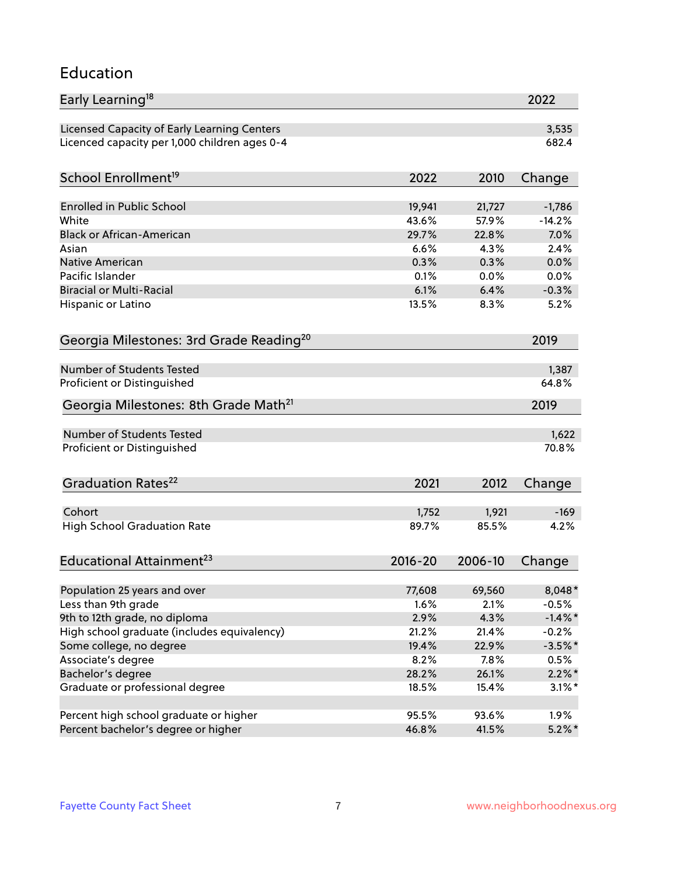### Education

| Early Learning <sup>18</sup>                        |             |         | 2022           |
|-----------------------------------------------------|-------------|---------|----------------|
| Licensed Capacity of Early Learning Centers         |             |         | 3,535          |
| Licenced capacity per 1,000 children ages 0-4       |             |         | 682.4          |
|                                                     |             |         |                |
| School Enrollment <sup>19</sup>                     | 2022        | 2010    | Change         |
| <b>Enrolled in Public School</b>                    | 19,941      | 21,727  | $-1,786$       |
| White                                               | 43.6%       | 57.9%   | $-14.2%$       |
| <b>Black or African-American</b>                    | 29.7%       | 22.8%   | 7.0%           |
| Asian                                               | 6.6%        | 4.3%    | 2.4%           |
| Native American                                     | 0.3%        | 0.3%    | 0.0%           |
| Pacific Islander                                    | 0.1%        | 0.0%    | 0.0%           |
| <b>Biracial or Multi-Racial</b>                     | 6.1%        | 6.4%    | $-0.3%$        |
| Hispanic or Latino                                  | 13.5%       | 8.3%    | 5.2%           |
|                                                     |             |         |                |
| Georgia Milestones: 3rd Grade Reading <sup>20</sup> |             |         | 2019           |
| <b>Number of Students Tested</b>                    |             |         |                |
|                                                     |             |         | 1,387<br>64.8% |
| Proficient or Distinguished                         |             |         |                |
| Georgia Milestones: 8th Grade Math <sup>21</sup>    |             |         | 2019           |
| Number of Students Tested                           |             |         | 1,622          |
| Proficient or Distinguished                         |             |         | 70.8%          |
|                                                     |             |         |                |
| Graduation Rates <sup>22</sup>                      | 2021        | 2012    | Change         |
|                                                     |             |         |                |
| Cohort                                              | 1,752       | 1,921   | $-169$         |
| <b>High School Graduation Rate</b>                  | 89.7%       | 85.5%   | 4.2%           |
| Educational Attainment <sup>23</sup>                | $2016 - 20$ | 2006-10 | Change         |
|                                                     |             |         |                |
| Population 25 years and over                        | 77,608      | 69,560  | 8,048*         |
| Less than 9th grade                                 | 1.6%        | 2.1%    | $-0.5%$        |
| 9th to 12th grade, no diploma                       | 2.9%        | 4.3%    | $-1.4\%$ *     |
| High school graduate (includes equivalency)         | 21.2%       | 21.4%   | $-0.2%$        |
| Some college, no degree                             | 19.4%       | 22.9%   | $-3.5%$ *      |
| Associate's degree                                  | 8.2%        | 7.8%    | 0.5%           |
| Bachelor's degree                                   | 28.2%       | 26.1%   | $2.2\%$ *      |
| Graduate or professional degree                     | 18.5%       | 15.4%   | $3.1\%$ *      |
| Percent high school graduate or higher              | 95.5%       | 93.6%   | 1.9%           |
| Percent bachelor's degree or higher                 | 46.8%       | 41.5%   | $5.2\%$ *      |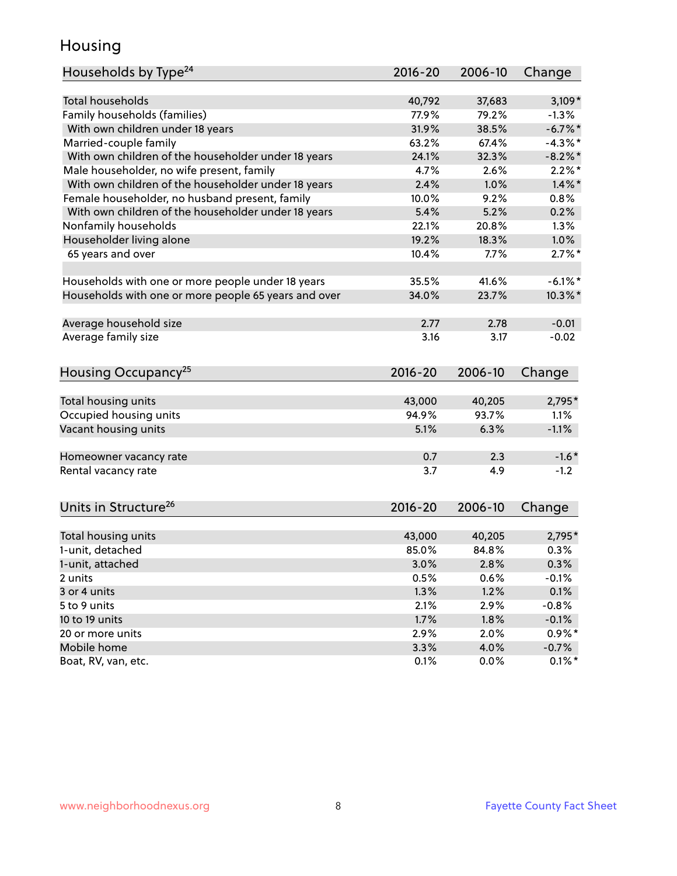### Housing

| Households by Type <sup>24</sup>                     | 2016-20 | 2006-10 | Change     |
|------------------------------------------------------|---------|---------|------------|
|                                                      |         |         |            |
| <b>Total households</b>                              | 40,792  | 37,683  | $3,109*$   |
| Family households (families)                         | 77.9%   | 79.2%   | $-1.3%$    |
| With own children under 18 years                     | 31.9%   | 38.5%   | $-6.7%$    |
| Married-couple family                                | 63.2%   | 67.4%   | $-4.3\%$ * |
| With own children of the householder under 18 years  | 24.1%   | 32.3%   | $-8.2\%$ * |
| Male householder, no wife present, family            | 4.7%    | 2.6%    | $2.2\%$ *  |
| With own children of the householder under 18 years  | 2.4%    | 1.0%    | $1.4\%$ *  |
| Female householder, no husband present, family       | 10.0%   | 9.2%    | 0.8%       |
| With own children of the householder under 18 years  | 5.4%    | 5.2%    | 0.2%       |
| Nonfamily households                                 | 22.1%   | 20.8%   | $1.3\%$    |
| Householder living alone                             | 19.2%   | 18.3%   | 1.0%       |
| 65 years and over                                    | 10.4%   | 7.7%    | $2.7\%$ *  |
|                                                      |         |         |            |
| Households with one or more people under 18 years    | 35.5%   | 41.6%   | $-6.1\%$ * |
| Households with one or more people 65 years and over | 34.0%   | 23.7%   | $10.3\%$ * |
|                                                      |         |         |            |
| Average household size                               | 2.77    | 2.78    | $-0.01$    |
| Average family size                                  | 3.16    | 3.17    | $-0.02$    |
|                                                      |         |         |            |
| Housing Occupancy <sup>25</sup>                      | 2016-20 | 2006-10 | Change     |
|                                                      |         |         |            |
| Total housing units                                  | 43,000  | 40,205  | 2,795*     |
| Occupied housing units                               | 94.9%   | 93.7%   | 1.1%       |
| Vacant housing units                                 | 5.1%    | 6.3%    | $-1.1%$    |
|                                                      |         |         |            |
| Homeowner vacancy rate                               | 0.7     | 2.3     | $-1.6*$    |
| Rental vacancy rate                                  | 3.7     | 4.9     | $-1.2$     |
|                                                      |         |         |            |
|                                                      |         |         |            |
| Units in Structure <sup>26</sup>                     | 2016-20 | 2006-10 | Change     |
| Total housing units                                  | 43,000  | 40,205  | 2,795*     |
| 1-unit, detached                                     | 85.0%   | 84.8%   | 0.3%       |
| 1-unit, attached                                     | 3.0%    | 2.8%    | 0.3%       |
| 2 units                                              | 0.5%    | 0.6%    | $-0.1%$    |
| 3 or 4 units                                         | 1.3%    | 1.2%    | 0.1%       |
| 5 to 9 units                                         | 2.1%    | 2.9%    | $-0.8%$    |
| 10 to 19 units                                       | 1.7%    | 1.8%    | $-0.1%$    |
| 20 or more units                                     | 2.9%    | 2.0%    | $0.9\%*$   |
| Mobile home                                          | 3.3%    | 4.0%    | $-0.7%$    |
| Boat, RV, van, etc.                                  | 0.1%    | 0.0%    | $0.1\%$ *  |
|                                                      |         |         |            |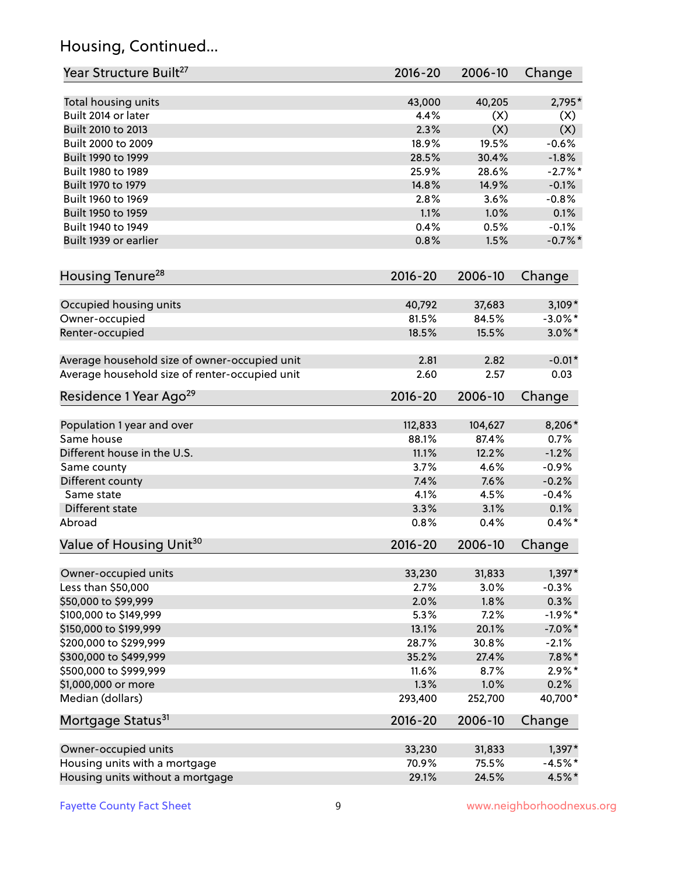# Housing, Continued...

| Year Structure Built <sup>27</sup>             | 2016-20     | 2006-10 | Change     |
|------------------------------------------------|-------------|---------|------------|
| Total housing units                            | 43,000      | 40,205  | 2,795*     |
| Built 2014 or later                            | 4.4%        | (X)     | (X)        |
| Built 2010 to 2013                             | 2.3%        | (X)     | (X)        |
| Built 2000 to 2009                             | 18.9%       | 19.5%   | $-0.6%$    |
| Built 1990 to 1999                             | 28.5%       | 30.4%   | $-1.8%$    |
| Built 1980 to 1989                             | 25.9%       | 28.6%   | $-2.7\%$ * |
| Built 1970 to 1979                             | 14.8%       | 14.9%   | $-0.1%$    |
| Built 1960 to 1969                             | 2.8%        | 3.6%    | $-0.8%$    |
| Built 1950 to 1959                             | 1.1%        | 1.0%    | 0.1%       |
| Built 1940 to 1949                             | 0.4%        | 0.5%    | $-0.1%$    |
| Built 1939 or earlier                          | 0.8%        | 1.5%    | $-0.7%$ *  |
| Housing Tenure <sup>28</sup>                   | $2016 - 20$ | 2006-10 | Change     |
|                                                |             |         |            |
| Occupied housing units                         | 40,792      | 37,683  | $3,109*$   |
| Owner-occupied                                 | 81.5%       | 84.5%   | $-3.0\%$ * |
| Renter-occupied                                | 18.5%       | 15.5%   | $3.0\%$ *  |
| Average household size of owner-occupied unit  | 2.81        | 2.82    | $-0.01*$   |
| Average household size of renter-occupied unit | 2.60        | 2.57    | 0.03       |
| Residence 1 Year Ago <sup>29</sup>             | $2016 - 20$ | 2006-10 | Change     |
| Population 1 year and over                     | 112,833     | 104,627 | 8,206*     |
| Same house                                     | 88.1%       | 87.4%   | 0.7%       |
| Different house in the U.S.                    | 11.1%       | 12.2%   | $-1.2%$    |
| Same county                                    | 3.7%        | 4.6%    | $-0.9%$    |
| Different county                               | 7.4%        | 7.6%    | $-0.2%$    |
| Same state                                     | 4.1%        | 4.5%    | $-0.4%$    |
| Different state                                | 3.3%        | 3.1%    | 0.1%       |
| Abroad                                         | 0.8%        | 0.4%    | $0.4\%$ *  |
| Value of Housing Unit <sup>30</sup>            | 2016-20     | 2006-10 | Change     |
|                                                |             |         |            |
| Owner-occupied units                           | 33,230      | 31,833  | $1,397*$   |
| Less than \$50,000                             | 2.7%        | 3.0%    | $-0.3%$    |
| \$50,000 to \$99,999                           | 2.0%        | 1.8%    | 0.3%       |
| \$100,000 to \$149,999                         | 5.3%        | 7.2%    | $-1.9%$ *  |
| \$150,000 to \$199,999                         | 13.1%       | 20.1%   | $-7.0\%$ * |
| \$200,000 to \$299,999                         | 28.7%       | 30.8%   | $-2.1%$    |
| \$300,000 to \$499,999                         | 35.2%       | 27.4%   | $7.8\%$ *  |
| \$500,000 to \$999,999                         | 11.6%       | 8.7%    | $2.9\%*$   |
| \$1,000,000 or more                            | 1.3%        | 1.0%    | 0.2%       |
| Median (dollars)                               | 293,400     | 252,700 | 40,700*    |
| Mortgage Status <sup>31</sup>                  | $2016 - 20$ | 2006-10 | Change     |
| Owner-occupied units                           | 33,230      | 31,833  | $1,397*$   |
| Housing units with a mortgage                  | 70.9%       | 75.5%   | $-4.5%$ *  |
| Housing units without a mortgage               | 29.1%       | 24.5%   | 4.5%*      |
|                                                |             |         |            |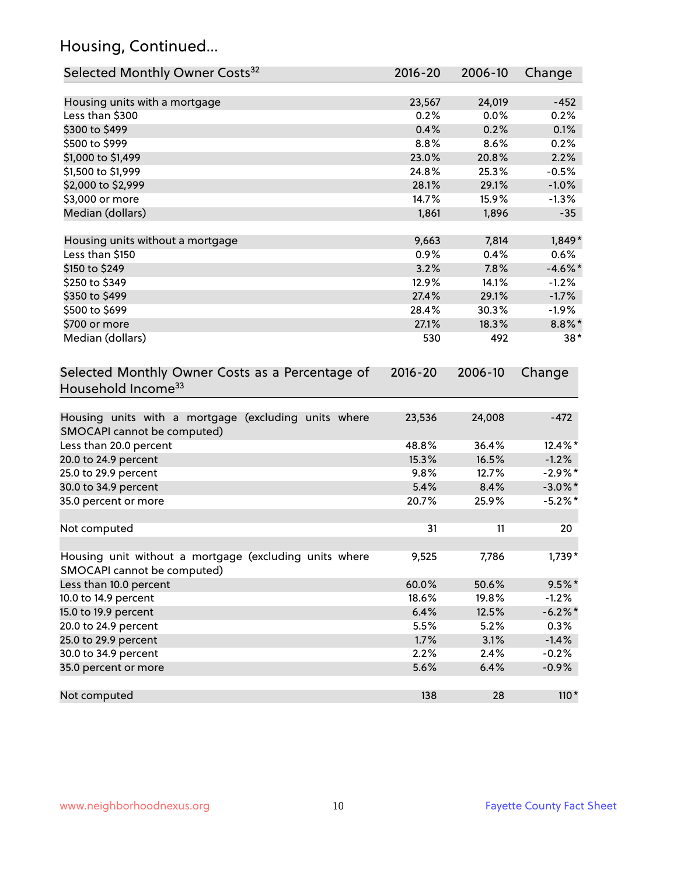# Housing, Continued...

| Selected Monthly Owner Costs <sup>32</sup>                                             | 2016-20 | 2006-10 | Change     |
|----------------------------------------------------------------------------------------|---------|---------|------------|
| Housing units with a mortgage                                                          | 23,567  | 24,019  | $-452$     |
| Less than \$300                                                                        | 0.2%    | 0.0%    | 0.2%       |
| \$300 to \$499                                                                         | 0.4%    | 0.2%    | 0.1%       |
| \$500 to \$999                                                                         | 8.8%    | 8.6%    | 0.2%       |
| \$1,000 to \$1,499                                                                     | 23.0%   | 20.8%   | 2.2%       |
| \$1,500 to \$1,999                                                                     | 24.8%   | 25.3%   | $-0.5%$    |
| \$2,000 to \$2,999                                                                     | 28.1%   | 29.1%   | $-1.0%$    |
| \$3,000 or more                                                                        | 14.7%   | 15.9%   | $-1.3%$    |
| Median (dollars)                                                                       | 1,861   | 1,896   | $-35$      |
| Housing units without a mortgage                                                       | 9,663   | 7,814   | $1,849*$   |
| Less than \$150                                                                        | 0.9%    | 0.4%    | 0.6%       |
| \$150 to \$249                                                                         | 3.2%    | 7.8%    | $-4.6\%$ * |
| \$250 to \$349                                                                         | 12.9%   | 14.1%   | $-1.2%$    |
| \$350 to \$499                                                                         | 27.4%   | 29.1%   | $-1.7%$    |
| \$500 to \$699                                                                         | 28.4%   | 30.3%   | $-1.9%$    |
| \$700 or more                                                                          | 27.1%   | 18.3%   | 8.8%*      |
| Median (dollars)                                                                       | 530     | 492     | $38*$      |
| Household Income <sup>33</sup><br>Housing units with a mortgage (excluding units where | 23,536  | 24,008  | $-472$     |
| SMOCAPI cannot be computed)                                                            |         |         |            |
| Less than 20.0 percent                                                                 | 48.8%   | 36.4%   | 12.4%*     |
| 20.0 to 24.9 percent                                                                   | 15.3%   | 16.5%   | $-1.2%$    |
| 25.0 to 29.9 percent                                                                   | 9.8%    | 12.7%   | $-2.9\%$ * |
| 30.0 to 34.9 percent                                                                   | 5.4%    | 8.4%    | $-3.0\%$ * |
| 35.0 percent or more                                                                   | 20.7%   | 25.9%   | $-5.2\%$ * |
| Not computed                                                                           | 31      | 11      | 20         |
| Housing unit without a mortgage (excluding units where<br>SMOCAPI cannot be computed)  | 9,525   | 7,786   | $1,739*$   |
| Less than 10.0 percent                                                                 | 60.0%   | 50.6%   | $9.5%$ *   |
| 10.0 to 14.9 percent                                                                   | 18.6%   | 19.8%   | $-1.2%$    |
| 15.0 to 19.9 percent                                                                   | 6.4%    | 12.5%   | $-6.2\%$ * |
| 20.0 to 24.9 percent                                                                   | 5.5%    | 5.2%    | 0.3%       |
| 25.0 to 29.9 percent                                                                   | 1.7%    | 3.1%    | $-1.4%$    |
| 30.0 to 34.9 percent                                                                   | 2.2%    | 2.4%    | $-0.2%$    |
| 35.0 percent or more                                                                   | 5.6%    | 6.4%    | $-0.9%$    |
| Not computed                                                                           | 138     | 28      | $110*$     |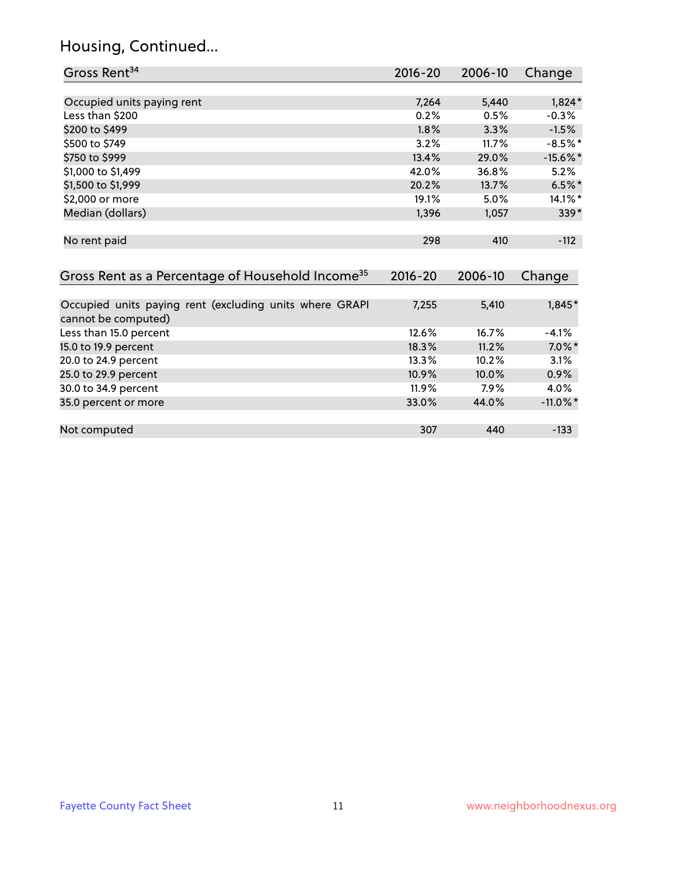# Housing, Continued...

| Gross Rent <sup>34</sup>                                                       | 2016-20     | 2006-10 | Change      |
|--------------------------------------------------------------------------------|-------------|---------|-------------|
|                                                                                |             |         |             |
| Occupied units paying rent                                                     | 7,264       | 5,440   | $1,824*$    |
| Less than \$200                                                                | 0.2%        | 0.5%    | $-0.3%$     |
| \$200 to \$499                                                                 | 1.8%        | 3.3%    | $-1.5%$     |
| \$500 to \$749                                                                 | 3.2%        | 11.7%   | $-8.5%$ *   |
| \$750 to \$999                                                                 | 13.4%       | 29.0%   | $-15.6\%$ * |
| \$1,000 to \$1,499                                                             | 42.0%       | 36.8%   | 5.2%        |
| \$1,500 to \$1,999                                                             | 20.2%       | 13.7%   | $6.5%$ *    |
| \$2,000 or more                                                                | 19.1%       | 5.0%    | 14.1%*      |
| Median (dollars)                                                               | 1,396       | 1,057   | $339*$      |
| No rent paid                                                                   | 298         | 410     | $-112$      |
| Gross Rent as a Percentage of Household Income <sup>35</sup>                   | $2016 - 20$ | 2006-10 | Change      |
| Occupied units paying rent (excluding units where GRAPI<br>cannot be computed) | 7,255       | 5,410   | $1,845*$    |
| Less than 15.0 percent                                                         | 12.6%       | 16.7%   | $-4.1%$     |
| 15.0 to 19.9 percent                                                           | 18.3%       | 11.2%   | $7.0\%$ *   |
| 20.0 to 24.9 percent                                                           | 13.3%       | 10.2%   | 3.1%        |
| 25.0 to 29.9 percent                                                           | 10.9%       | 10.0%   | 0.9%        |
| 30.0 to 34.9 percent                                                           | 11.9%       | 7.9%    | 4.0%        |
| 35.0 percent or more                                                           | 33.0%       | 44.0%   | $-11.0\%$ * |
| Not computed                                                                   | 307         | 440     | $-133$      |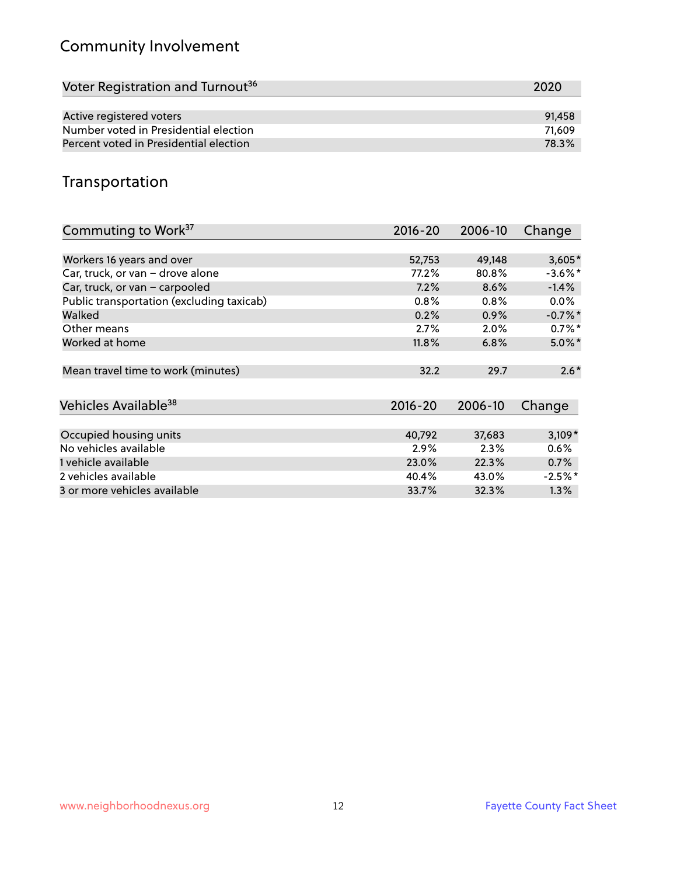# Community Involvement

| Voter Registration and Turnout <sup>36</sup> | 2020   |
|----------------------------------------------|--------|
|                                              |        |
| Active registered voters                     | 91.458 |
| Number voted in Presidential election        | 71.609 |
| Percent voted in Presidential election       | 78.3%  |

## Transportation

| Commuting to Work <sup>37</sup>           | 2016-20     | 2006-10 | Change     |
|-------------------------------------------|-------------|---------|------------|
|                                           |             |         |            |
| Workers 16 years and over                 | 52,753      | 49,148  | $3,605*$   |
| Car, truck, or van - drove alone          | 77.2%       | 80.8%   | $-3.6\%$ * |
| Car, truck, or van - carpooled            | 7.2%        | 8.6%    | $-1.4%$    |
| Public transportation (excluding taxicab) | 0.8%        | 0.8%    | $0.0\%$    |
| Walked                                    | 0.2%        | 0.9%    | $-0.7%$ *  |
| Other means                               | 2.7%        | 2.0%    | $0.7%$ *   |
| Worked at home                            | 11.8%       | 6.8%    | $5.0\%$ *  |
|                                           |             |         |            |
| Mean travel time to work (minutes)        | 32.2        | 29.7    | $2.6*$     |
|                                           |             |         |            |
| Vehicles Available <sup>38</sup>          | $2016 - 20$ | 2006-10 | Change     |
|                                           |             |         |            |
| Occupied housing units                    | 40,792      | 37,683  | $3,109*$   |
| No vehicles available                     | 2.9%        | 2.3%    | $0.6\%$    |
| 1 vehicle available                       | 23.0%       | 22.3%   | 0.7%       |
| 2 vehicles available                      | 40.4%       | 43.0%   | $-2.5\%$ * |
| 3 or more vehicles available              | 33.7%       | 32.3%   | $1.3\%$    |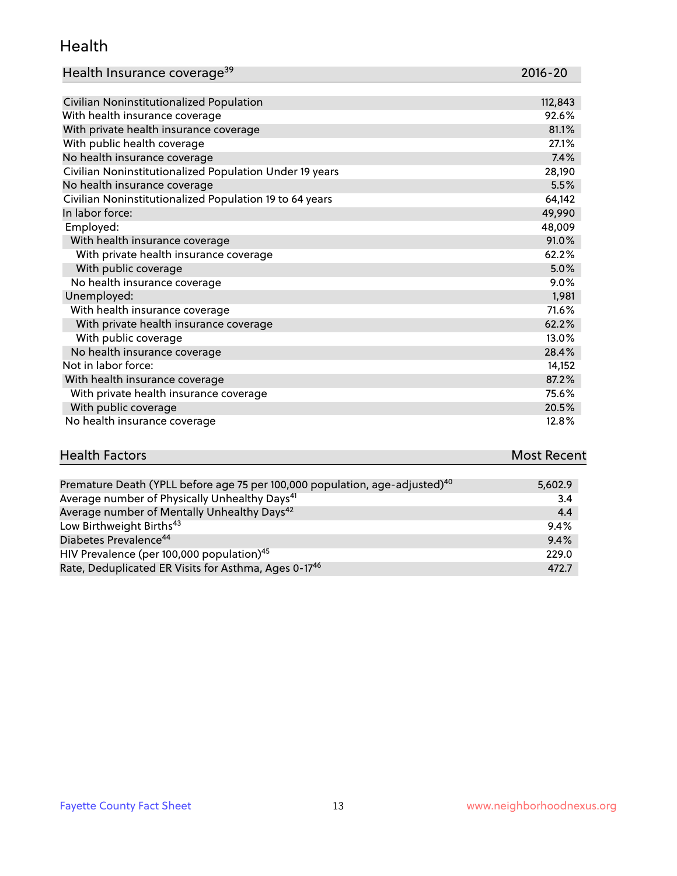#### Health

| Health Insurance coverage <sup>39</sup> | 2016-20 |
|-----------------------------------------|---------|
|-----------------------------------------|---------|

| Civilian Noninstitutionalized Population                | 112,843 |
|---------------------------------------------------------|---------|
| With health insurance coverage                          | 92.6%   |
| With private health insurance coverage                  | 81.1%   |
| With public health coverage                             | 27.1%   |
| No health insurance coverage                            | 7.4%    |
| Civilian Noninstitutionalized Population Under 19 years | 28,190  |
| No health insurance coverage                            | 5.5%    |
| Civilian Noninstitutionalized Population 19 to 64 years | 64,142  |
| In labor force:                                         | 49,990  |
| Employed:                                               | 48,009  |
| With health insurance coverage                          | 91.0%   |
| With private health insurance coverage                  | 62.2%   |
| With public coverage                                    | 5.0%    |
| No health insurance coverage                            | 9.0%    |
| Unemployed:                                             | 1,981   |
| With health insurance coverage                          | 71.6%   |
| With private health insurance coverage                  | 62.2%   |
| With public coverage                                    | 13.0%   |
| No health insurance coverage                            | 28.4%   |
| Not in labor force:                                     | 14,152  |
| With health insurance coverage                          | 87.2%   |
| With private health insurance coverage                  | 75.6%   |
| With public coverage                                    | 20.5%   |
| No health insurance coverage                            | 12.8%   |

# **Health Factors Most Recent** And The Control of the Control of The Control of The Control of The Control of The Control of The Control of The Control of The Control of The Control of The Control of The Control of The Contr

| Premature Death (YPLL before age 75 per 100,000 population, age-adjusted) <sup>40</sup> | 5,602.9 |
|-----------------------------------------------------------------------------------------|---------|
| Average number of Physically Unhealthy Days <sup>41</sup>                               | 3.4     |
| Average number of Mentally Unhealthy Days <sup>42</sup>                                 | 4.4     |
| Low Birthweight Births <sup>43</sup>                                                    | 9.4%    |
| Diabetes Prevalence <sup>44</sup>                                                       | 9.4%    |
| HIV Prevalence (per 100,000 population) <sup>45</sup>                                   | 229.0   |
| Rate, Deduplicated ER Visits for Asthma, Ages 0-17 <sup>46</sup>                        | 472.7   |